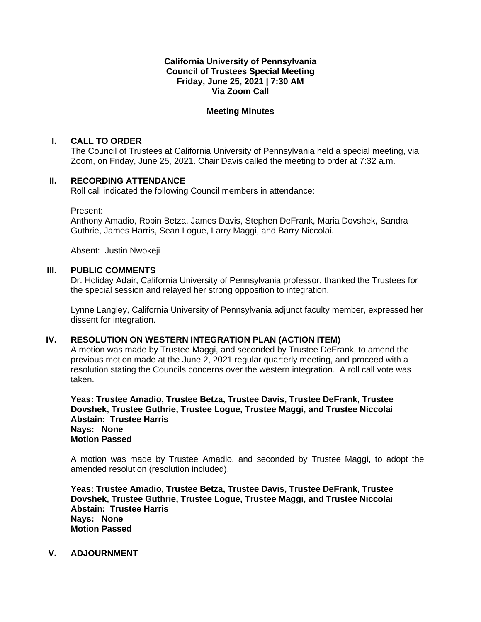## **California University of Pennsylvania Council of Trustees Special Meeting Friday, June 25, 2021 | 7:30 AM Via Zoom Call**

## **Meeting Minutes**

## **I. CALL TO ORDER**

The Council of Trustees at California University of Pennsylvania held a special meeting, via Zoom, on Friday, June 25, 2021. Chair Davis called the meeting to order at 7:32 a.m.

## **II. RECORDING ATTENDANCE**

Roll call indicated the following Council members in attendance:

#### Present:

Anthony Amadio, Robin Betza, James Davis, Stephen DeFrank, Maria Dovshek, Sandra Guthrie, James Harris, Sean Logue, Larry Maggi, and Barry Niccolai.

Absent: Justin Nwokeji

### **III. PUBLIC COMMENTS**

Dr. Holiday Adair, California University of Pennsylvania professor, thanked the Trustees for the special session and relayed her strong opposition to integration.

Lynne Langley, California University of Pennsylvania adjunct faculty member, expressed her dissent for integration.

# **IV. RESOLUTION ON WESTERN INTEGRATION PLAN (ACTION ITEM)**

A motion was made by Trustee Maggi, and seconded by Trustee DeFrank, to amend the previous motion made at the June 2, 2021 regular quarterly meeting, and proceed with a resolution stating the Councils concerns over the western integration. A roll call vote was taken.

**Yeas: Trustee Amadio, Trustee Betza, Trustee Davis, Trustee DeFrank, Trustee Dovshek, Trustee Guthrie, Trustee Logue, Trustee Maggi, and Trustee Niccolai Abstain: Trustee Harris Nays: None Motion Passed**

A motion was made by Trustee Amadio, and seconded by Trustee Maggi, to adopt the amended resolution (resolution included).

**Yeas: Trustee Amadio, Trustee Betza, Trustee Davis, Trustee DeFrank, Trustee Dovshek, Trustee Guthrie, Trustee Logue, Trustee Maggi, and Trustee Niccolai Abstain: Trustee Harris Nays: None Motion Passed**

### **V. ADJOURNMENT**